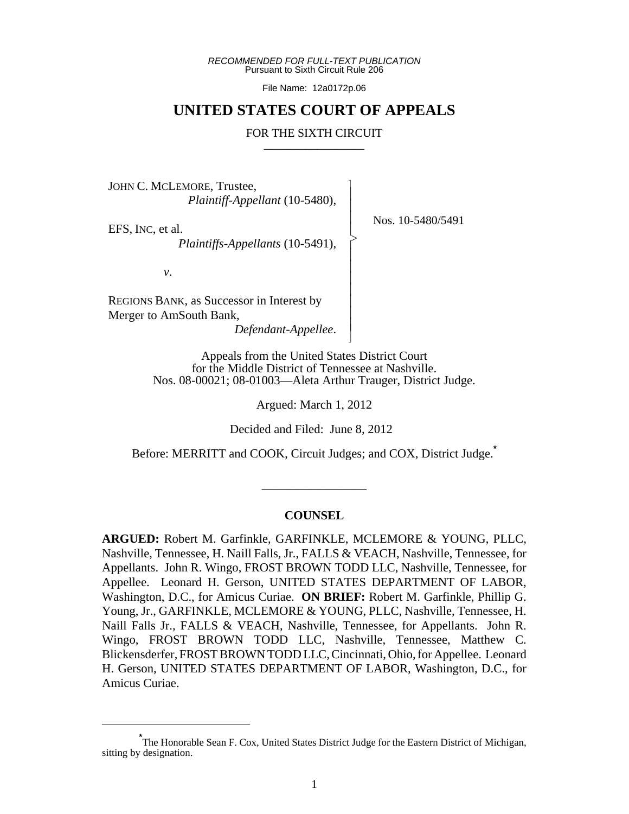*RECOMMENDED FOR FULL-TEXT PUBLICATION* Pursuant to Sixth Circuit Rule 206

File Name: 12a0172p.06

# **UNITED STATES COURT OF APPEALS**

#### FOR THE SIXTH CIRCUIT

 $\overline{\phantom{a}}$ - - - > , - - - - - - - N

JOHN C. MCLEMORE, Trustee, *Plaintiff-Appellant* (10-5480),

EFS, INC, et al.

*Plaintiffs-Appellants* (10-5491),

Nos. 10-5480/5491

*v*.

REGIONS BANK, as Successor in Interest by Merger to AmSouth Bank,

*Defendant-Appellee*.

Appeals from the United States District Court for the Middle District of Tennessee at Nashville. Nos. 08-00021; 08-01003—Aleta Arthur Trauger, District Judge.

Argued: March 1, 2012

Decided and Filed: June 8, 2012

Before: MERRITT and COOK, Circuit Judges; and COX, District Judge.**\***

\_\_\_\_\_\_\_\_\_\_\_\_\_\_\_\_\_

#### **COUNSEL**

**ARGUED:** Robert M. Garfinkle, GARFINKLE, MCLEMORE & YOUNG, PLLC, Nashville, Tennessee, H. Naill Falls, Jr., FALLS & VEACH, Nashville, Tennessee, for Appellants. John R. Wingo, FROST BROWN TODD LLC, Nashville, Tennessee, for Appellee. Leonard H. Gerson, UNITED STATES DEPARTMENT OF LABOR, Washington, D.C., for Amicus Curiae. **ON BRIEF:** Robert M. Garfinkle, Phillip G. Young, Jr., GARFINKLE, MCLEMORE & YOUNG, PLLC, Nashville, Tennessee, H. Naill Falls Jr., FALLS & VEACH, Nashville, Tennessee, for Appellants. John R. Wingo, FROST BROWN TODD LLC, Nashville, Tennessee, Matthew C. Blickensderfer, FROST BROWN TODD LLC, Cincinnati, Ohio, for Appellee. Leonard H. Gerson, UNITED STATES DEPARTMENT OF LABOR, Washington, D.C., for Amicus Curiae.

**<sup>\*</sup>** The Honorable Sean F. Cox, United States District Judge for the Eastern District of Michigan, sitting by designation.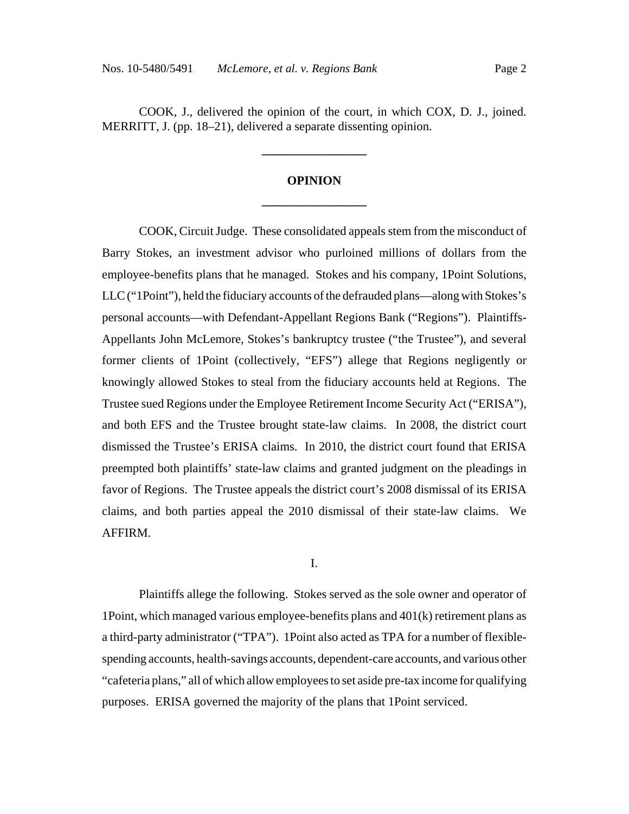COOK, J., delivered the opinion of the court, in which COX, D. J., joined. MERRITT, J. (pp. 18–21), delivered a separate dissenting opinion.

# **OPINION \_\_\_\_\_\_\_\_\_\_\_\_\_\_\_\_\_**

**\_\_\_\_\_\_\_\_\_\_\_\_\_\_\_\_\_**

COOK, Circuit Judge. These consolidated appeals stem from the misconduct of Barry Stokes, an investment advisor who purloined millions of dollars from the employee-benefits plans that he managed. Stokes and his company, 1Point Solutions, LLC ("1Point"), held the fiduciary accounts of the defrauded plans—along with Stokes's personal accounts—with Defendant-Appellant Regions Bank ("Regions"). Plaintiffs-Appellants John McLemore, Stokes's bankruptcy trustee ("the Trustee"), and several former clients of 1Point (collectively, "EFS") allege that Regions negligently or knowingly allowed Stokes to steal from the fiduciary accounts held at Regions. The Trustee sued Regions under the Employee Retirement Income Security Act ("ERISA"), and both EFS and the Trustee brought state-law claims. In 2008, the district court dismissed the Trustee's ERISA claims. In 2010, the district court found that ERISA preempted both plaintiffs' state-law claims and granted judgment on the pleadings in favor of Regions. The Trustee appeals the district court's 2008 dismissal of its ERISA claims, and both parties appeal the 2010 dismissal of their state-law claims. We AFFIRM.

#### I.

Plaintiffs allege the following. Stokes served as the sole owner and operator of 1Point, which managed various employee-benefits plans and 401(k) retirement plans as a third-party administrator ("TPA"). 1Point also acted as TPA for a number of flexiblespending accounts, health-savings accounts, dependent-care accounts, and various other "cafeteria plans," all of which allow employees to set aside pre-tax income for qualifying purposes. ERISA governed the majority of the plans that 1Point serviced.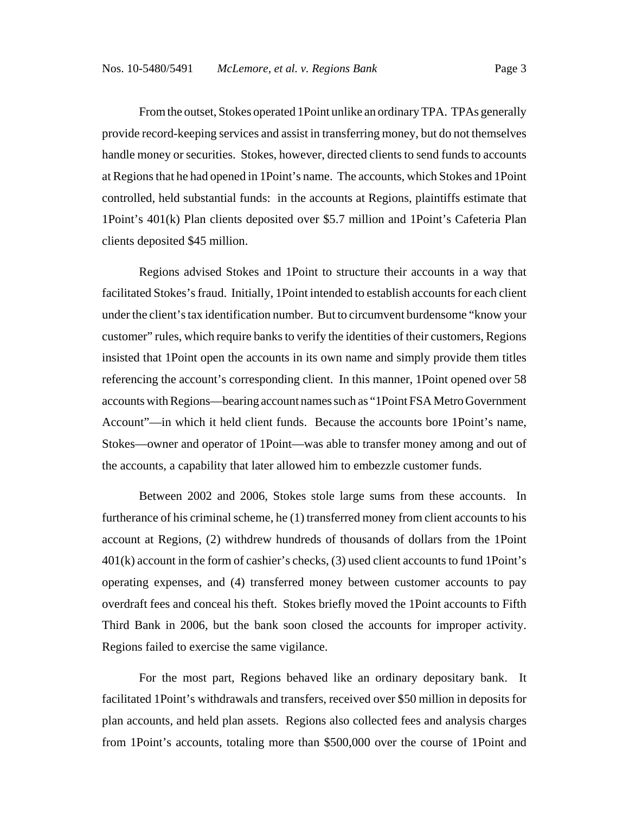From the outset, Stokes operated 1Point unlike an ordinary TPA. TPAs generally provide record-keeping services and assist in transferring money, but do not themselves handle money or securities. Stokes, however, directed clients to send funds to accounts at Regions that he had opened in 1Point's name. The accounts, which Stokes and 1Point controlled, held substantial funds: in the accounts at Regions, plaintiffs estimate that 1Point's 401(k) Plan clients deposited over \$5.7 million and 1Point's Cafeteria Plan clients deposited \$45 million.

Regions advised Stokes and 1Point to structure their accounts in a way that facilitated Stokes's fraud. Initially, 1Point intended to establish accounts for each client under the client's tax identification number. But to circumvent burdensome "know your customer" rules, which require banks to verify the identities of their customers, Regions insisted that 1Point open the accounts in its own name and simply provide them titles referencing the account's corresponding client. In this manner, 1Point opened over 58 accounts with Regions—bearing account names such as "1Point FSA Metro Government Account"—in which it held client funds. Because the accounts bore 1Point's name, Stokes—owner and operator of 1Point—was able to transfer money among and out of the accounts, a capability that later allowed him to embezzle customer funds.

Between 2002 and 2006, Stokes stole large sums from these accounts. In furtherance of his criminal scheme, he (1) transferred money from client accounts to his account at Regions, (2) withdrew hundreds of thousands of dollars from the 1Point 401(k) account in the form of cashier's checks, (3) used client accounts to fund 1Point's operating expenses, and (4) transferred money between customer accounts to pay overdraft fees and conceal his theft. Stokes briefly moved the 1Point accounts to Fifth Third Bank in 2006, but the bank soon closed the accounts for improper activity. Regions failed to exercise the same vigilance.

For the most part, Regions behaved like an ordinary depositary bank. It facilitated 1Point's withdrawals and transfers, received over \$50 million in deposits for plan accounts, and held plan assets. Regions also collected fees and analysis charges from 1Point's accounts, totaling more than \$500,000 over the course of 1Point and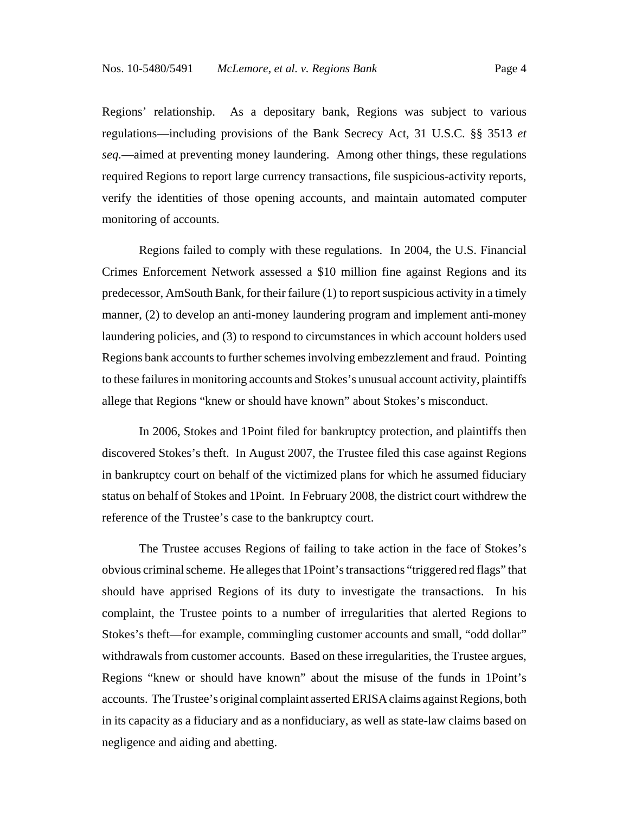Regions' relationship. As a depositary bank, Regions was subject to various regulations—including provisions of the Bank Secrecy Act, 31 U.S.C. §§ 3513 *et seq.*—aimed at preventing money laundering. Among other things, these regulations required Regions to report large currency transactions, file suspicious-activity reports, verify the identities of those opening accounts, and maintain automated computer monitoring of accounts.

Regions failed to comply with these regulations. In 2004, the U.S. Financial Crimes Enforcement Network assessed a \$10 million fine against Regions and its predecessor, AmSouth Bank, for their failure (1) to report suspicious activity in a timely manner, (2) to develop an anti-money laundering program and implement anti-money laundering policies, and (3) to respond to circumstances in which account holders used Regions bank accounts to further schemes involving embezzlement and fraud. Pointing to these failures in monitoring accounts and Stokes's unusual account activity, plaintiffs allege that Regions "knew or should have known" about Stokes's misconduct.

In 2006, Stokes and 1Point filed for bankruptcy protection, and plaintiffs then discovered Stokes's theft. In August 2007, the Trustee filed this case against Regions in bankruptcy court on behalf of the victimized plans for which he assumed fiduciary status on behalf of Stokes and 1Point. In February 2008, the district court withdrew the reference of the Trustee's case to the bankruptcy court.

The Trustee accuses Regions of failing to take action in the face of Stokes's obvious criminal scheme. He alleges that 1Point's transactions "triggered red flags" that should have apprised Regions of its duty to investigate the transactions. In his complaint, the Trustee points to a number of irregularities that alerted Regions to Stokes's theft—for example, commingling customer accounts and small, "odd dollar" withdrawals from customer accounts. Based on these irregularities, the Trustee argues, Regions "knew or should have known" about the misuse of the funds in 1Point's accounts. The Trustee's original complaint asserted ERISA claims against Regions, both in its capacity as a fiduciary and as a nonfiduciary, as well as state-law claims based on negligence and aiding and abetting.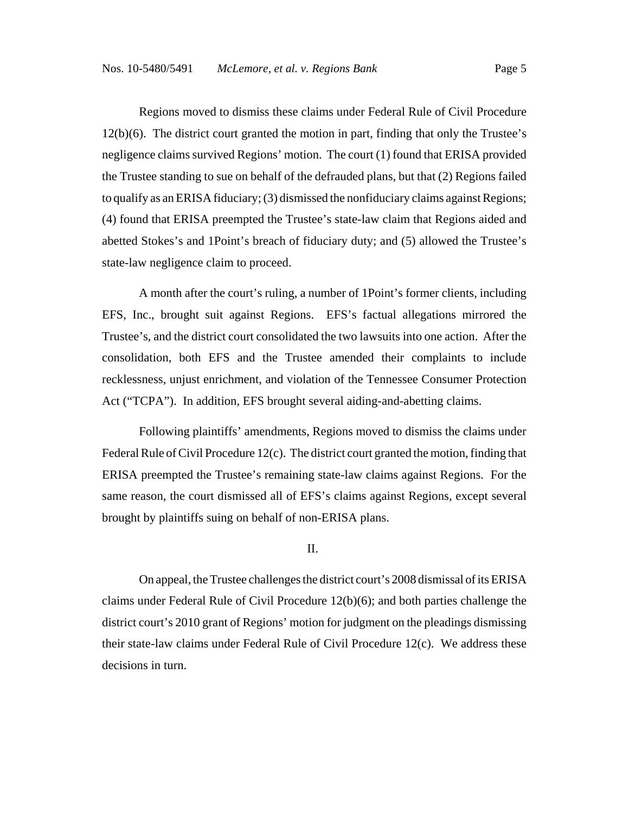Regions moved to dismiss these claims under Federal Rule of Civil Procedure 12(b)(6). The district court granted the motion in part, finding that only the Trustee's negligence claims survived Regions' motion. The court (1) found that ERISA provided the Trustee standing to sue on behalf of the defrauded plans, but that (2) Regions failed to qualify as an ERISA fiduciary; (3) dismissed the nonfiduciary claims against Regions; (4) found that ERISA preempted the Trustee's state-law claim that Regions aided and abetted Stokes's and 1Point's breach of fiduciary duty; and (5) allowed the Trustee's state-law negligence claim to proceed.

A month after the court's ruling, a number of 1Point's former clients, including EFS, Inc., brought suit against Regions. EFS's factual allegations mirrored the Trustee's, and the district court consolidated the two lawsuits into one action. After the consolidation, both EFS and the Trustee amended their complaints to include recklessness, unjust enrichment, and violation of the Tennessee Consumer Protection Act ("TCPA"). In addition, EFS brought several aiding-and-abetting claims.

Following plaintiffs' amendments, Regions moved to dismiss the claims under Federal Rule of Civil Procedure 12(c). The district court granted the motion, finding that ERISA preempted the Trustee's remaining state-law claims against Regions. For the same reason, the court dismissed all of EFS's claims against Regions, except several brought by plaintiffs suing on behalf of non-ERISA plans.

II.

On appeal, the Trustee challenges the district court's 2008 dismissal of its ERISA claims under Federal Rule of Civil Procedure 12(b)(6); and both parties challenge the district court's 2010 grant of Regions' motion for judgment on the pleadings dismissing their state-law claims under Federal Rule of Civil Procedure 12(c). We address these decisions in turn.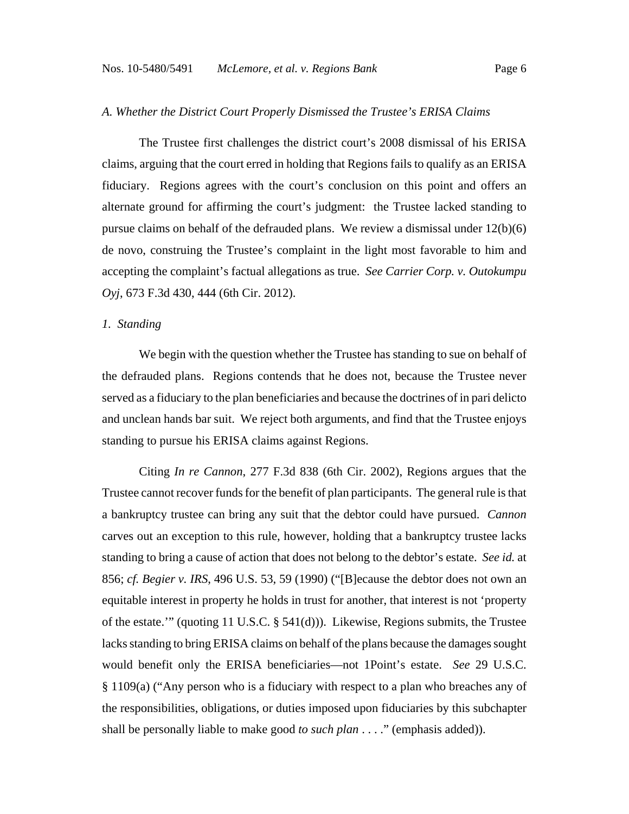#### *A. Whether the District Court Properly Dismissed the Trustee's ERISA Claims*

The Trustee first challenges the district court's 2008 dismissal of his ERISA claims, arguing that the court erred in holding that Regions fails to qualify as an ERISA fiduciary. Regions agrees with the court's conclusion on this point and offers an alternate ground for affirming the court's judgment: the Trustee lacked standing to pursue claims on behalf of the defrauded plans. We review a dismissal under 12(b)(6) de novo, construing the Trustee's complaint in the light most favorable to him and accepting the complaint's factual allegations as true. *See Carrier Corp. v. Outokumpu Oyj*, 673 F.3d 430, 444 (6th Cir. 2012).

#### *1. Standing*

We begin with the question whether the Trustee has standing to sue on behalf of the defrauded plans. Regions contends that he does not, because the Trustee never served as a fiduciary to the plan beneficiaries and because the doctrines of in pari delicto and unclean hands bar suit. We reject both arguments, and find that the Trustee enjoys standing to pursue his ERISA claims against Regions.

Citing *In re Cannon*, 277 F.3d 838 (6th Cir. 2002), Regions argues that the Trustee cannot recover funds for the benefit of plan participants. The general rule is that a bankruptcy trustee can bring any suit that the debtor could have pursued. *Cannon* carves out an exception to this rule, however, holding that a bankruptcy trustee lacks standing to bring a cause of action that does not belong to the debtor's estate. *See id.* at 856; *cf. Begier v. IRS*, 496 U.S. 53, 59 (1990) ("[B]ecause the debtor does not own an equitable interest in property he holds in trust for another, that interest is not 'property of the estate.'" (quoting 11 U.S.C. § 541(d))). Likewise, Regions submits, the Trustee lacks standing to bring ERISA claims on behalf of the plans because the damages sought would benefit only the ERISA beneficiaries—not 1Point's estate. *See* 29 U.S.C. § 1109(a) ("Any person who is a fiduciary with respect to a plan who breaches any of the responsibilities, obligations, or duties imposed upon fiduciaries by this subchapter shall be personally liable to make good *to such plan* . . . ." (emphasis added)).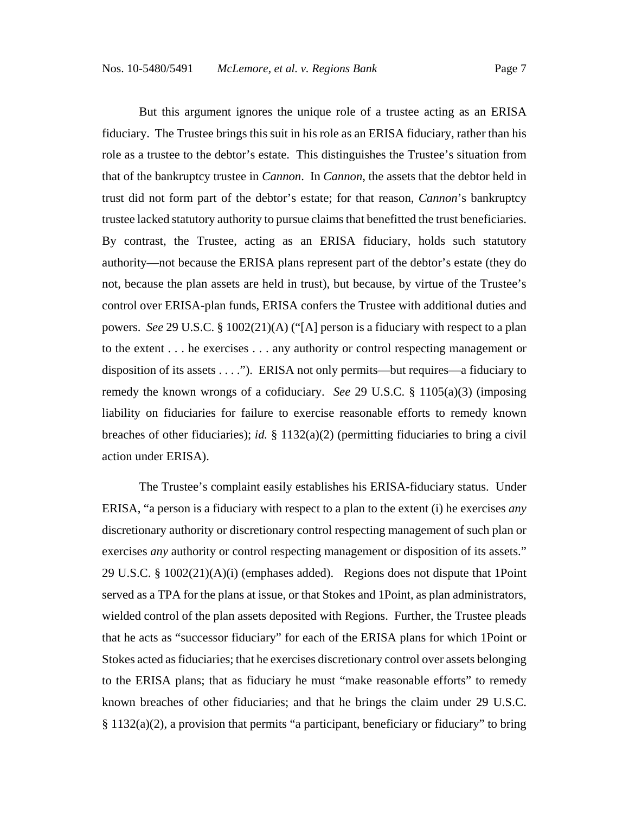But this argument ignores the unique role of a trustee acting as an ERISA fiduciary. The Trustee brings this suit in his role as an ERISA fiduciary, rather than his role as a trustee to the debtor's estate. This distinguishes the Trustee's situation from that of the bankruptcy trustee in *Cannon*. In *Cannon*, the assets that the debtor held in trust did not form part of the debtor's estate; for that reason, *Cannon*'s bankruptcy trustee lacked statutory authority to pursue claims that benefitted the trust beneficiaries. By contrast, the Trustee, acting as an ERISA fiduciary, holds such statutory authority—not because the ERISA plans represent part of the debtor's estate (they do not, because the plan assets are held in trust), but because, by virtue of the Trustee's control over ERISA-plan funds, ERISA confers the Trustee with additional duties and powers. *See* 29 U.S.C. § 1002(21)(A) ("[A] person is a fiduciary with respect to a plan to the extent . . . he exercises . . . any authority or control respecting management or disposition of its assets . . . ."). ERISA not only permits—but requires—a fiduciary to remedy the known wrongs of a cofiduciary. *See* 29 U.S.C. § 1105(a)(3) (imposing liability on fiduciaries for failure to exercise reasonable efforts to remedy known breaches of other fiduciaries); *id.* § 1132(a)(2) (permitting fiduciaries to bring a civil action under ERISA).

The Trustee's complaint easily establishes his ERISA-fiduciary status. Under ERISA, "a person is a fiduciary with respect to a plan to the extent (i) he exercises *any* discretionary authority or discretionary control respecting management of such plan or exercises *any* authority or control respecting management or disposition of its assets." 29 U.S.C. § 1002(21)(A)(i) (emphases added). Regions does not dispute that 1Point served as a TPA for the plans at issue, or that Stokes and 1Point, as plan administrators, wielded control of the plan assets deposited with Regions. Further, the Trustee pleads that he acts as "successor fiduciary" for each of the ERISA plans for which 1Point or Stokes acted as fiduciaries; that he exercises discretionary control over assets belonging to the ERISA plans; that as fiduciary he must "make reasonable efforts" to remedy known breaches of other fiduciaries; and that he brings the claim under 29 U.S.C. § 1132(a)(2), a provision that permits "a participant, beneficiary or fiduciary" to bring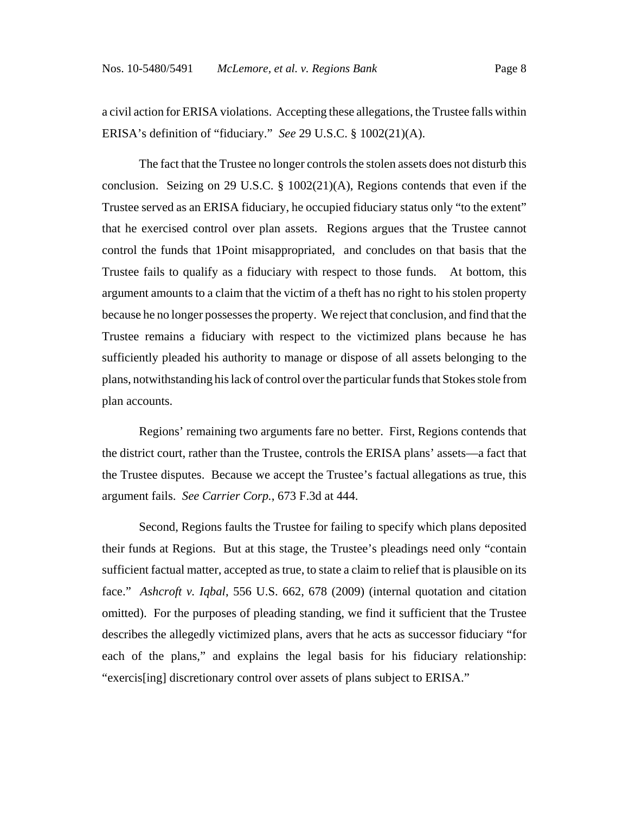a civil action for ERISA violations. Accepting these allegations, the Trustee falls within ERISA's definition of "fiduciary." *See* 29 U.S.C. § 1002(21)(A).

The fact that the Trustee no longer controls the stolen assets does not disturb this conclusion. Seizing on 29 U.S.C. § 1002(21)(A), Regions contends that even if the Trustee served as an ERISA fiduciary, he occupied fiduciary status only "to the extent" that he exercised control over plan assets. Regions argues that the Trustee cannot control the funds that 1Point misappropriated, and concludes on that basis that the Trustee fails to qualify as a fiduciary with respect to those funds. At bottom, this argument amounts to a claim that the victim of a theft has no right to his stolen property because he no longer possesses the property. We reject that conclusion, and find that the Trustee remains a fiduciary with respect to the victimized plans because he has sufficiently pleaded his authority to manage or dispose of all assets belonging to the plans, notwithstanding his lack of control over the particular funds that Stokes stole from plan accounts.

Regions' remaining two arguments fare no better. First, Regions contends that the district court, rather than the Trustee, controls the ERISA plans' assets—a fact that the Trustee disputes. Because we accept the Trustee's factual allegations as true, this argument fails. *See Carrier Corp.*, 673 F.3d at 444.

Second, Regions faults the Trustee for failing to specify which plans deposited their funds at Regions. But at this stage, the Trustee's pleadings need only "contain sufficient factual matter, accepted as true, to state a claim to relief that is plausible on its face." *Ashcroft v. Iqbal*, 556 U.S. 662, 678 (2009) (internal quotation and citation omitted). For the purposes of pleading standing, we find it sufficient that the Trustee describes the allegedly victimized plans, avers that he acts as successor fiduciary "for each of the plans," and explains the legal basis for his fiduciary relationship: "exercis[ing] discretionary control over assets of plans subject to ERISA."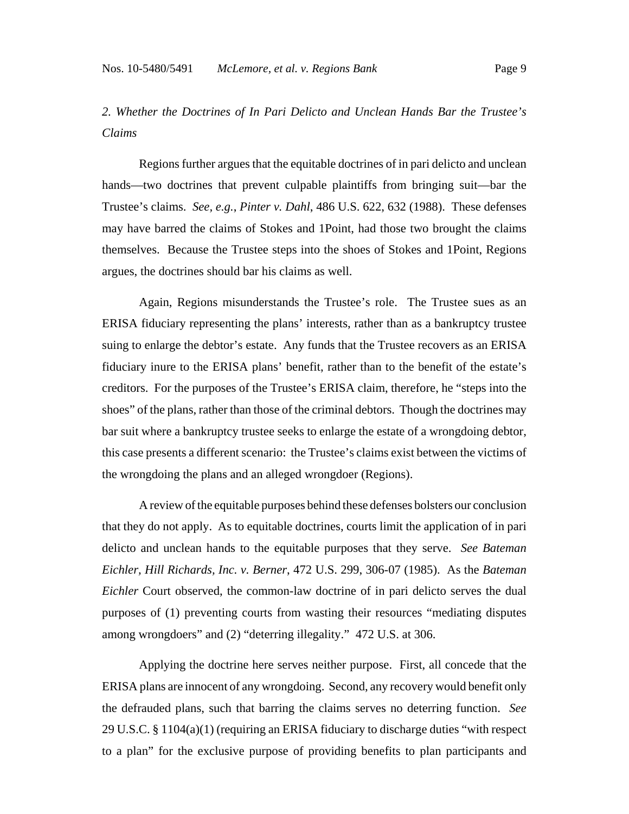*2. Whether the Doctrines of In Pari Delicto and Unclean Hands Bar the Trustee's Claims*

Regions further argues that the equitable doctrines of in pari delicto and unclean hands—two doctrines that prevent culpable plaintiffs from bringing suit—bar the Trustee's claims. *See, e.g.*, *Pinter v. Dahl*, 486 U.S. 622, 632 (1988). These defenses may have barred the claims of Stokes and 1Point, had those two brought the claims themselves. Because the Trustee steps into the shoes of Stokes and 1Point, Regions argues, the doctrines should bar his claims as well.

Again, Regions misunderstands the Trustee's role. The Trustee sues as an ERISA fiduciary representing the plans' interests, rather than as a bankruptcy trustee suing to enlarge the debtor's estate. Any funds that the Trustee recovers as an ERISA fiduciary inure to the ERISA plans' benefit, rather than to the benefit of the estate's creditors. For the purposes of the Trustee's ERISA claim, therefore, he "steps into the shoes" of the plans, rather than those of the criminal debtors. Though the doctrines may bar suit where a bankruptcy trustee seeks to enlarge the estate of a wrongdoing debtor, this case presents a different scenario: the Trustee's claims exist between the victims of the wrongdoing the plans and an alleged wrongdoer (Regions).

A review of the equitable purposes behind these defenses bolsters our conclusion that they do not apply. As to equitable doctrines, courts limit the application of in pari delicto and unclean hands to the equitable purposes that they serve. *See Bateman Eichler, Hill Richards, Inc. v. Berner*, 472 U.S. 299, 306-07 (1985). As the *Bateman Eichler* Court observed, the common-law doctrine of in pari delicto serves the dual purposes of (1) preventing courts from wasting their resources "mediating disputes among wrongdoers" and (2) "deterring illegality." 472 U.S. at 306.

Applying the doctrine here serves neither purpose. First, all concede that the ERISA plans are innocent of any wrongdoing. Second, any recovery would benefit only the defrauded plans, such that barring the claims serves no deterring function. *See* 29 U.S.C. § 1104(a)(1) (requiring an ERISA fiduciary to discharge duties "with respect to a plan" for the exclusive purpose of providing benefits to plan participants and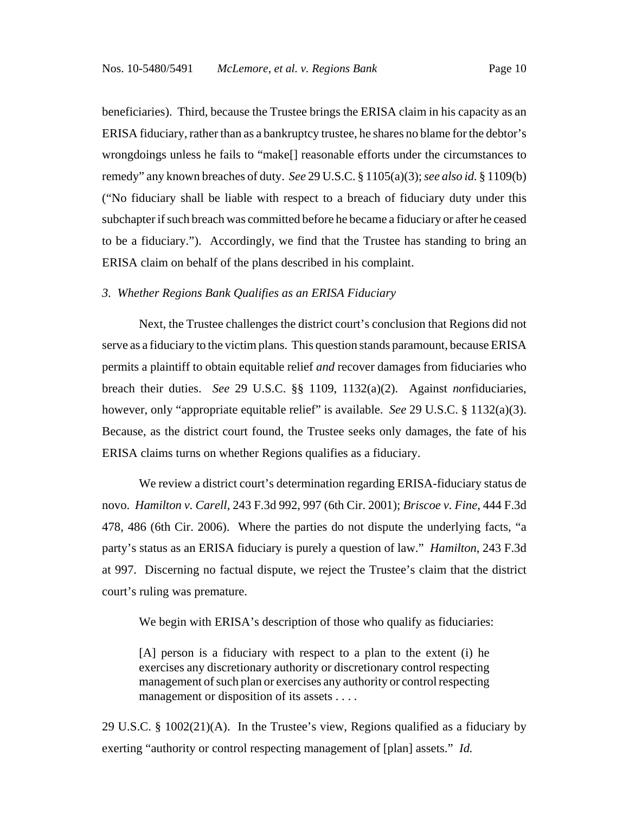beneficiaries). Third, because the Trustee brings the ERISA claim in his capacity as an ERISA fiduciary, rather than as a bankruptcy trustee, he shares no blame for the debtor's wrongdoings unless he fails to "make[] reasonable efforts under the circumstances to remedy" any known breaches of duty. *See* 29 U.S.C. § 1105(a)(3); *see also id.* § 1109(b) ("No fiduciary shall be liable with respect to a breach of fiduciary duty under this subchapter if such breach was committed before he became a fiduciary or after he ceased to be a fiduciary."). Accordingly, we find that the Trustee has standing to bring an ERISA claim on behalf of the plans described in his complaint.

#### *3. Whether Regions Bank Qualifies as an ERISA Fiduciary*

Next, the Trustee challenges the district court's conclusion that Regions did not serve as a fiduciary to the victim plans. This question stands paramount, because ERISA permits a plaintiff to obtain equitable relief *and* recover damages from fiduciaries who breach their duties. *See* 29 U.S.C. §§ 1109, 1132(a)(2). Against *non*fiduciaries, however, only "appropriate equitable relief" is available. *See* 29 U.S.C. § 1132(a)(3). Because, as the district court found, the Trustee seeks only damages, the fate of his ERISA claims turns on whether Regions qualifies as a fiduciary.

We review a district court's determination regarding ERISA-fiduciary status de novo. *Hamilton v. Carell*, 243 F.3d 992, 997 (6th Cir. 2001); *Briscoe v. Fine*, 444 F.3d 478, 486 (6th Cir. 2006). Where the parties do not dispute the underlying facts, "a party's status as an ERISA fiduciary is purely a question of law." *Hamilton*, 243 F.3d at 997. Discerning no factual dispute, we reject the Trustee's claim that the district court's ruling was premature.

We begin with ERISA's description of those who qualify as fiduciaries:

[A] person is a fiduciary with respect to a plan to the extent (i) he exercises any discretionary authority or discretionary control respecting management of such plan or exercises any authority or control respecting management or disposition of its assets . . . .

29 U.S.C. § 1002(21)(A). In the Trustee's view, Regions qualified as a fiduciary by exerting "authority or control respecting management of [plan] assets." *Id.*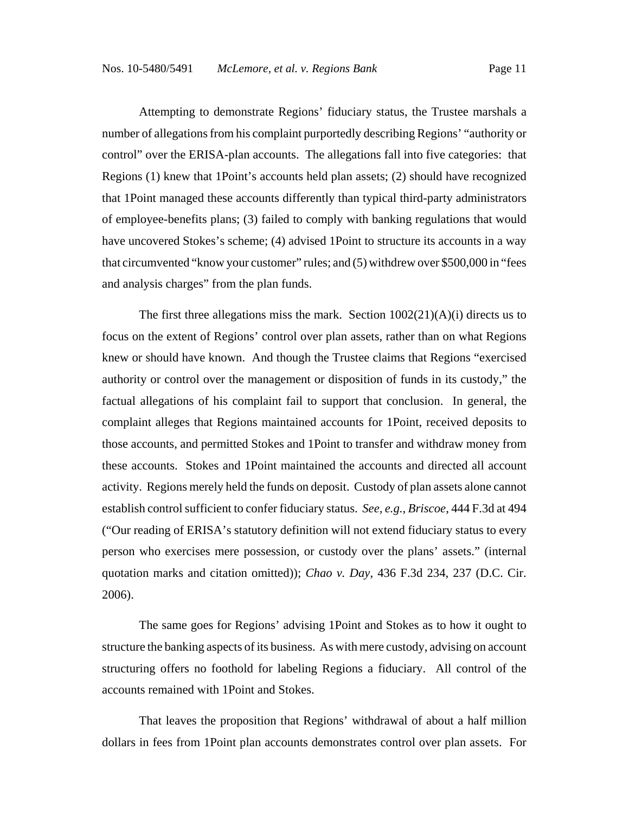Attempting to demonstrate Regions' fiduciary status, the Trustee marshals a number of allegations from his complaint purportedly describing Regions' "authority or control" over the ERISA-plan accounts. The allegations fall into five categories: that Regions (1) knew that 1Point's accounts held plan assets; (2) should have recognized that 1Point managed these accounts differently than typical third-party administrators of employee-benefits plans; (3) failed to comply with banking regulations that would have uncovered Stokes's scheme; (4) advised 1Point to structure its accounts in a way that circumvented "know your customer" rules; and (5) withdrew over \$500,000 in "fees and analysis charges" from the plan funds.

The first three allegations miss the mark. Section  $1002(21)(A)(i)$  directs us to focus on the extent of Regions' control over plan assets, rather than on what Regions knew or should have known. And though the Trustee claims that Regions "exercised authority or control over the management or disposition of funds in its custody," the factual allegations of his complaint fail to support that conclusion. In general, the complaint alleges that Regions maintained accounts for 1Point, received deposits to those accounts, and permitted Stokes and 1Point to transfer and withdraw money from these accounts. Stokes and 1Point maintained the accounts and directed all account activity. Regions merely held the funds on deposit. Custody of plan assets alone cannot establish control sufficient to confer fiduciary status. *See, e.g.*, *Briscoe*, 444 F.3d at 494 ("Our reading of ERISA's statutory definition will not extend fiduciary status to every person who exercises mere possession, or custody over the plans' assets." (internal quotation marks and citation omitted)); *Chao v. Day*, 436 F.3d 234, 237 (D.C. Cir. 2006).

The same goes for Regions' advising 1Point and Stokes as to how it ought to structure the banking aspects of its business. As with mere custody, advising on account structuring offers no foothold for labeling Regions a fiduciary. All control of the accounts remained with 1Point and Stokes.

That leaves the proposition that Regions' withdrawal of about a half million dollars in fees from 1Point plan accounts demonstrates control over plan assets. For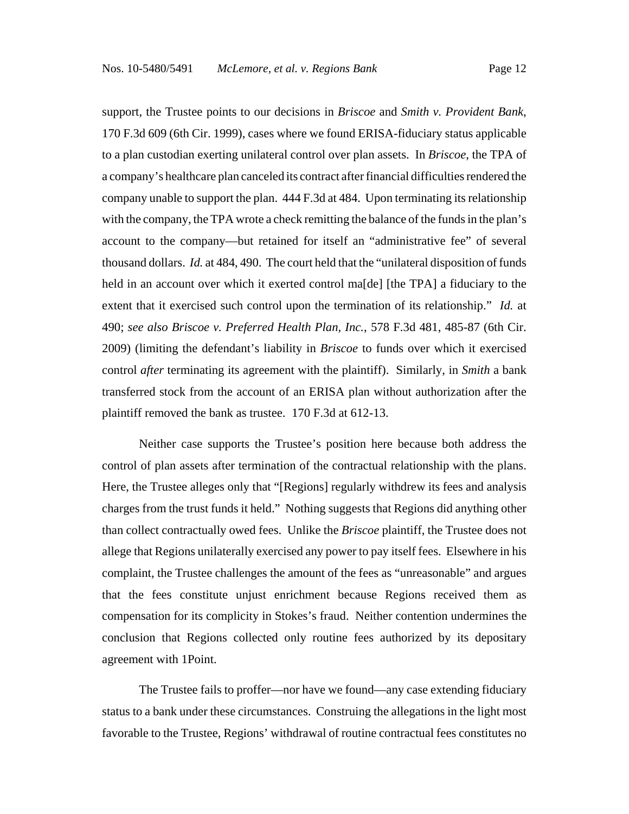support, the Trustee points to our decisions in *Briscoe* and *Smith v. Provident Bank*, 170 F.3d 609 (6th Cir. 1999), cases where we found ERISA-fiduciary status applicable to a plan custodian exerting unilateral control over plan assets. In *Briscoe*, the TPA of a company's healthcare plan canceled its contract after financial difficulties rendered the company unable to support the plan. 444 F.3d at 484. Upon terminating its relationship with the company, the TPA wrote a check remitting the balance of the funds in the plan's account to the company—but retained for itself an "administrative fee" of several thousand dollars. *Id.* at 484, 490.The court held that the "unilateral disposition of funds held in an account over which it exerted control mas del [the TPA] a fiduciary to the extent that it exercised such control upon the termination of its relationship." *Id.* at 490; *see also Briscoe v. Preferred Health Plan, Inc.*, 578 F.3d 481, 485-87 (6th Cir. 2009) (limiting the defendant's liability in *Briscoe* to funds over which it exercised control *after* terminating its agreement with the plaintiff). Similarly, in *Smith* a bank transferred stock from the account of an ERISA plan without authorization after the plaintiff removed the bank as trustee. 170 F.3d at 612-13.

Neither case supports the Trustee's position here because both address the control of plan assets after termination of the contractual relationship with the plans. Here, the Trustee alleges only that "[Regions] regularly withdrew its fees and analysis charges from the trust funds it held." Nothing suggests that Regions did anything other than collect contractually owed fees. Unlike the *Briscoe* plaintiff, the Trustee does not allege that Regions unilaterally exercised any power to pay itself fees. Elsewhere in his complaint, the Trustee challenges the amount of the fees as "unreasonable" and argues that the fees constitute unjust enrichment because Regions received them as compensation for its complicity in Stokes's fraud. Neither contention undermines the conclusion that Regions collected only routine fees authorized by its depositary agreement with 1Point.

The Trustee fails to proffer—nor have we found—any case extending fiduciary status to a bank under these circumstances. Construing the allegations in the light most favorable to the Trustee, Regions' withdrawal of routine contractual fees constitutes no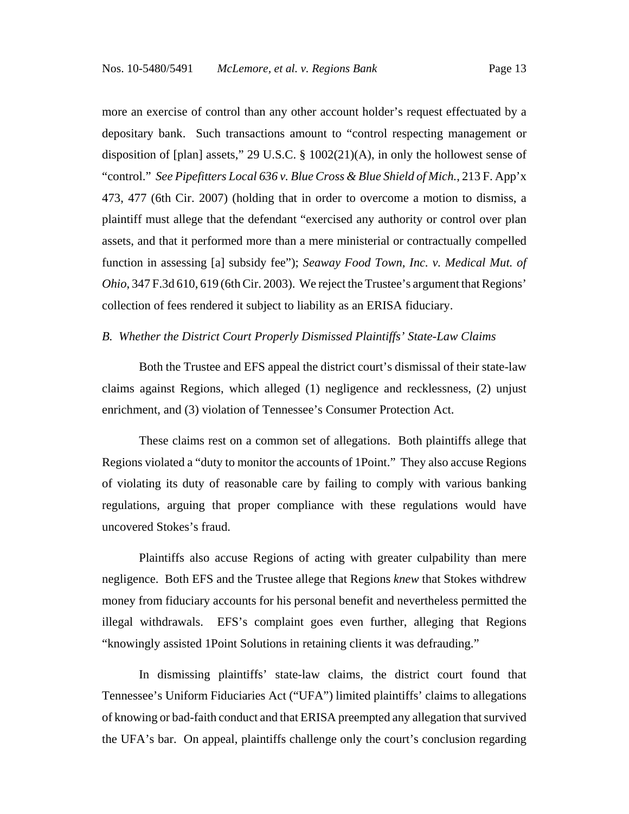more an exercise of control than any other account holder's request effectuated by a depositary bank. Such transactions amount to "control respecting management or disposition of [plan] assets," 29 U.S.C. § 1002(21)(A), in only the hollowest sense of "control." *See Pipefitters Local 636 v. Blue Cross & Blue Shield of Mich.*, 213 F. App'x 473, 477 (6th Cir. 2007) (holding that in order to overcome a motion to dismiss, a plaintiff must allege that the defendant "exercised any authority or control over plan assets, and that it performed more than a mere ministerial or contractually compelled function in assessing [a] subsidy fee"); *Seaway Food Town, Inc. v. Medical Mut. of Ohio*, 347 F.3d 610, 619 (6th Cir. 2003). We reject the Trustee's argument that Regions' collection of fees rendered it subject to liability as an ERISA fiduciary.

#### *B. Whether the District Court Properly Dismissed Plaintiffs' State-Law Claims*

Both the Trustee and EFS appeal the district court's dismissal of their state-law claims against Regions, which alleged (1) negligence and recklessness, (2) unjust enrichment, and (3) violation of Tennessee's Consumer Protection Act.

These claims rest on a common set of allegations. Both plaintiffs allege that Regions violated a "duty to monitor the accounts of 1Point." They also accuse Regions of violating its duty of reasonable care by failing to comply with various banking regulations, arguing that proper compliance with these regulations would have uncovered Stokes's fraud.

Plaintiffs also accuse Regions of acting with greater culpability than mere negligence. Both EFS and the Trustee allege that Regions *knew* that Stokes withdrew money from fiduciary accounts for his personal benefit and nevertheless permitted the illegal withdrawals. EFS's complaint goes even further, alleging that Regions "knowingly assisted 1Point Solutions in retaining clients it was defrauding."

In dismissing plaintiffs' state-law claims, the district court found that Tennessee's Uniform Fiduciaries Act ("UFA") limited plaintiffs' claims to allegations of knowing or bad-faith conduct and that ERISA preempted any allegation that survived the UFA's bar. On appeal, plaintiffs challenge only the court's conclusion regarding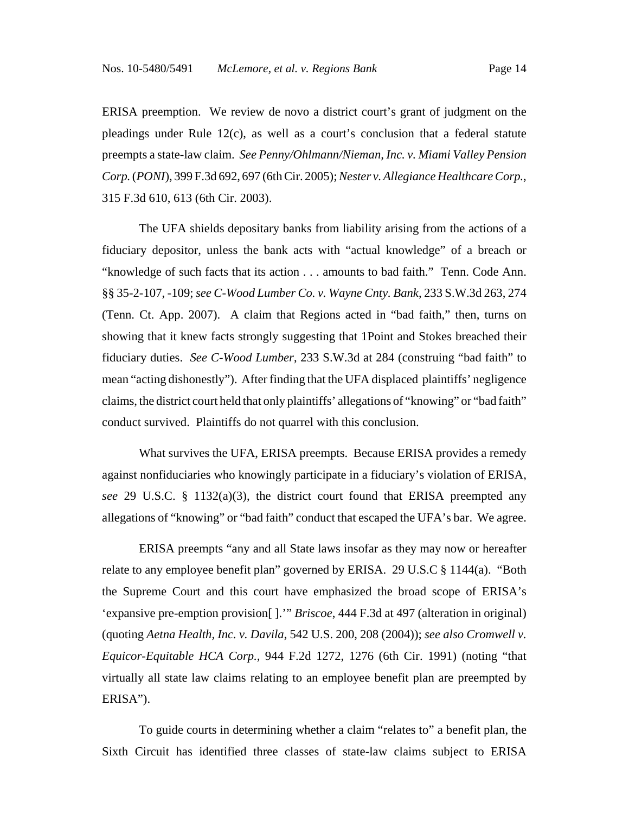ERISA preemption. We review de novo a district court's grant of judgment on the pleadings under Rule  $12(c)$ , as well as a court's conclusion that a federal statute preempts a state-law claim. *See Penny/Ohlmann/Nieman, Inc. v. Miami Valley Pension Corp.* (*PONI*), 399 F.3d 692, 697 (6th Cir. 2005); *Nester v. Allegiance Healthcare Corp.*, 315 F.3d 610, 613 (6th Cir. 2003).

The UFA shields depositary banks from liability arising from the actions of a fiduciary depositor, unless the bank acts with "actual knowledge" of a breach or "knowledge of such facts that its action . . . amounts to bad faith." Tenn. Code Ann. §§ 35-2-107, -109; *see C-Wood Lumber Co. v. Wayne Cnty. Bank*, 233 S.W.3d 263, 274 (Tenn. Ct. App. 2007). A claim that Regions acted in "bad faith," then, turns on showing that it knew facts strongly suggesting that 1Point and Stokes breached their fiduciary duties. *See C-Wood Lumber*, 233 S.W.3d at 284 (construing "bad faith" to mean "acting dishonestly"). After finding that the UFA displaced plaintiffs' negligence claims, the district court held that only plaintiffs' allegations of "knowing" or "bad faith" conduct survived. Plaintiffs do not quarrel with this conclusion.

What survives the UFA, ERISA preempts. Because ERISA provides a remedy against nonfiduciaries who knowingly participate in a fiduciary's violation of ERISA, *see* 29 U.S.C. § 1132(a)(3), the district court found that ERISA preempted any allegations of "knowing" or "bad faith" conduct that escaped the UFA's bar. We agree.

ERISA preempts "any and all State laws insofar as they may now or hereafter relate to any employee benefit plan" governed by ERISA. 29 U.S.C § 1144(a). "Both the Supreme Court and this court have emphasized the broad scope of ERISA's 'expansive pre-emption provision[ ].'" *Briscoe*, 444 F.3d at 497 (alteration in original) (quoting *Aetna Health, Inc. v. Davila*, 542 U.S. 200, 208 (2004)); *see also Cromwell v. Equicor-Equitable HCA Corp.,* 944 F.2d 1272, 1276 (6th Cir. 1991) (noting "that virtually all state law claims relating to an employee benefit plan are preempted by ERISA").

To guide courts in determining whether a claim "relates to" a benefit plan, the Sixth Circuit has identified three classes of state-law claims subject to ERISA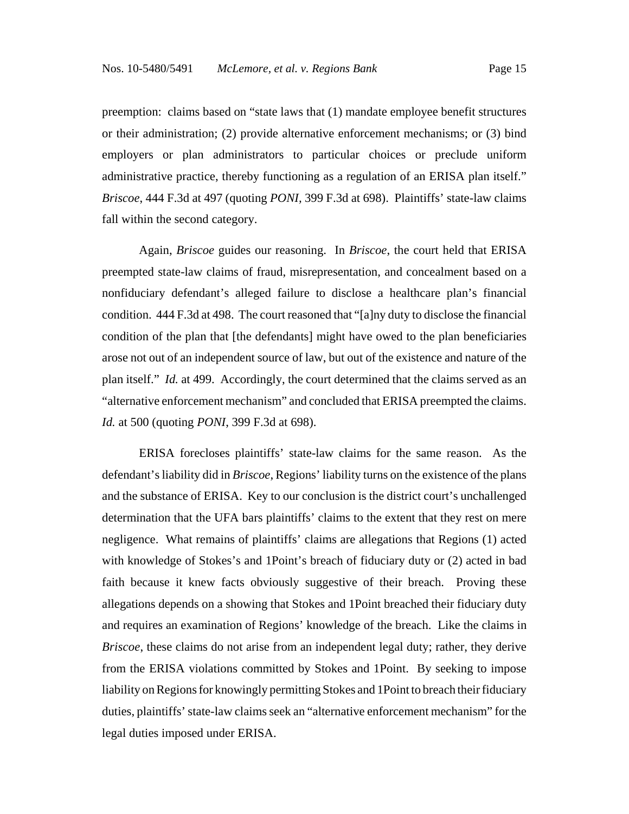preemption: claims based on "state laws that (1) mandate employee benefit structures or their administration; (2) provide alternative enforcement mechanisms; or (3) bind employers or plan administrators to particular choices or preclude uniform administrative practice, thereby functioning as a regulation of an ERISA plan itself." *Briscoe*, 444 F.3d at 497 (quoting *PONI,* 399 F.3d at 698). Plaintiffs' state-law claims fall within the second category.

Again, *Briscoe* guides our reasoning. In *Briscoe*, the court held that ERISA preempted state-law claims of fraud, misrepresentation, and concealment based on a nonfiduciary defendant's alleged failure to disclose a healthcare plan's financial condition. 444 F.3d at 498. The court reasoned that "[a]ny duty to disclose the financial condition of the plan that [the defendants] might have owed to the plan beneficiaries arose not out of an independent source of law, but out of the existence and nature of the plan itself." *Id.* at 499. Accordingly, the court determined that the claims served as an "alternative enforcement mechanism" and concluded that ERISA preempted the claims. *Id.* at 500 (quoting *PONI*, 399 F.3d at 698).

ERISA forecloses plaintiffs' state-law claims for the same reason. As the defendant's liability did in *Briscoe*, Regions' liability turns on the existence of the plans and the substance of ERISA. Key to our conclusion is the district court's unchallenged determination that the UFA bars plaintiffs' claims to the extent that they rest on mere negligence. What remains of plaintiffs' claims are allegations that Regions (1) acted with knowledge of Stokes's and 1Point's breach of fiduciary duty or (2) acted in bad faith because it knew facts obviously suggestive of their breach. Proving these allegations depends on a showing that Stokes and 1Point breached their fiduciary duty and requires an examination of Regions' knowledge of the breach. Like the claims in *Briscoe*, these claims do not arise from an independent legal duty; rather, they derive from the ERISA violations committed by Stokes and 1Point. By seeking to impose liability on Regions for knowingly permitting Stokes and 1Point to breach their fiduciary duties, plaintiffs' state-law claims seek an "alternative enforcement mechanism" for the legal duties imposed under ERISA.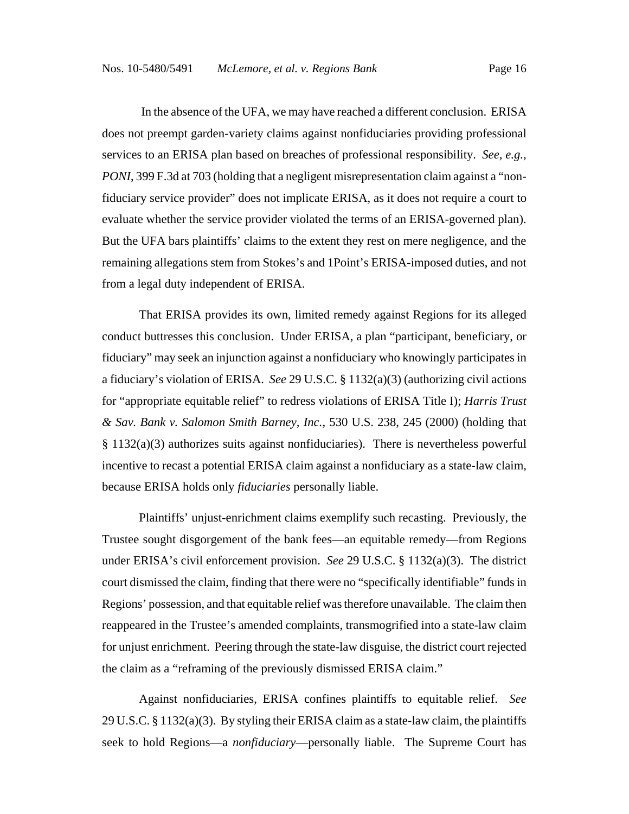In the absence of the UFA, we may have reached a different conclusion. ERISA does not preempt garden-variety claims against nonfiduciaries providing professional services to an ERISA plan based on breaches of professional responsibility. *See, e.g.*, *PONI*, 399 F.3d at 703 (holding that a negligent misrepresentation claim against a "nonfiduciary service provider" does not implicate ERISA, as it does not require a court to evaluate whether the service provider violated the terms of an ERISA-governed plan). But the UFA bars plaintiffs' claims to the extent they rest on mere negligence, and the remaining allegations stem from Stokes's and 1Point's ERISA-imposed duties, and not from a legal duty independent of ERISA.

That ERISA provides its own, limited remedy against Regions for its alleged conduct buttresses this conclusion. Under ERISA, a plan "participant, beneficiary, or fiduciary" may seek an injunction against a nonfiduciary who knowingly participates in a fiduciary's violation of ERISA. *See* 29 U.S.C. § 1132(a)(3) (authorizing civil actions for "appropriate equitable relief" to redress violations of ERISA Title I); *Harris Trust & Sav. Bank v. Salomon Smith Barney, Inc.*, 530 U.S. 238, 245 (2000) (holding that § 1132(a)(3) authorizes suits against nonfiduciaries). There is nevertheless powerful incentive to recast a potential ERISA claim against a nonfiduciary as a state-law claim, because ERISA holds only *fiduciaries* personally liable.

Plaintiffs' unjust-enrichment claims exemplify such recasting. Previously, the Trustee sought disgorgement of the bank fees—an equitable remedy—from Regions under ERISA's civil enforcement provision. *See* 29 U.S.C. § 1132(a)(3). The district court dismissed the claim, finding that there were no "specifically identifiable" funds in Regions' possession, and that equitable relief was therefore unavailable. The claim then reappeared in the Trustee's amended complaints, transmogrified into a state-law claim for unjust enrichment. Peering through the state-law disguise, the district court rejected the claim as a "reframing of the previously dismissed ERISA claim."

Against nonfiduciaries, ERISA confines plaintiffs to equitable relief. *See* 29 U.S.C. § 1132(a)(3). By styling their ERISA claim as a state-law claim, the plaintiffs seek to hold Regions—a *nonfiduciary*—personally liable. The Supreme Court has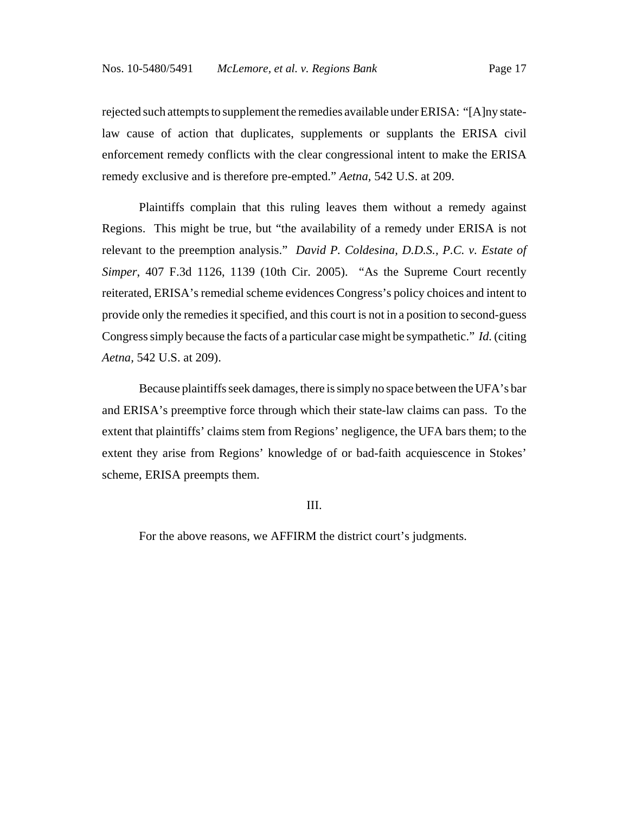rejected such attempts to supplement the remedies available under ERISA: "[A]ny statelaw cause of action that duplicates, supplements or supplants the ERISA civil enforcement remedy conflicts with the clear congressional intent to make the ERISA remedy exclusive and is therefore pre-empted." *Aetna,* 542 U.S. at 209.

Plaintiffs complain that this ruling leaves them without a remedy against Regions. This might be true, but "the availability of a remedy under ERISA is not relevant to the preemption analysis." *David P. Coldesina, D.D.S., P.C. v. Estate of Simper*, 407 F.3d 1126, 1139 (10th Cir. 2005). "As the Supreme Court recently reiterated, ERISA's remedial scheme evidences Congress's policy choices and intent to provide only the remedies it specified, and this court is not in a position to second-guess Congress simply because the facts of a particular case might be sympathetic." *Id.* (citing *Aetna,* 542 U.S. at 209).

Because plaintiffs seek damages, there is simply no space between the UFA's bar and ERISA's preemptive force through which their state-law claims can pass. To the extent that plaintiffs' claims stem from Regions' negligence, the UFA bars them; to the extent they arise from Regions' knowledge of or bad-faith acquiescence in Stokes' scheme, ERISA preempts them.

### III.

For the above reasons, we AFFIRM the district court's judgments.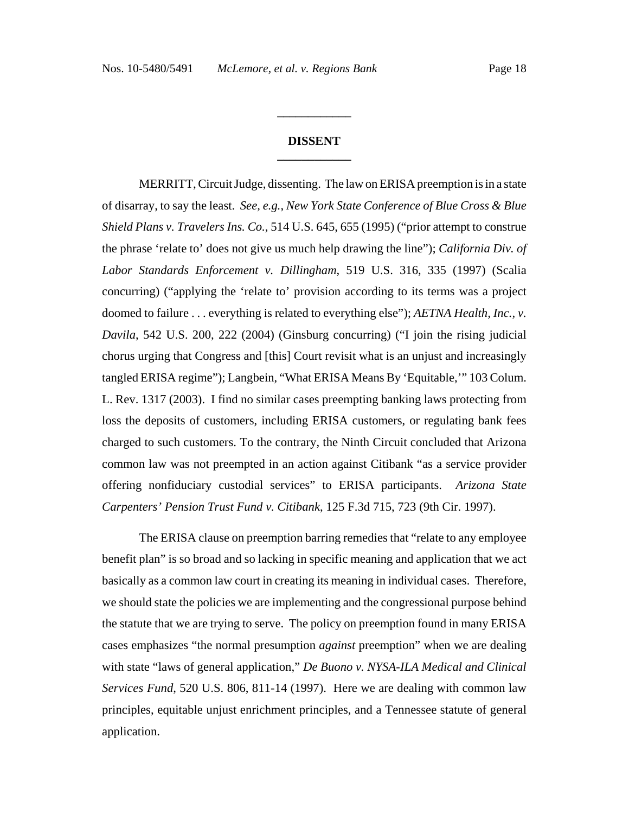## **DISSENT \_\_\_\_\_\_\_\_\_\_\_\_**

**\_\_\_\_\_\_\_\_\_\_\_\_**

MERRITT, Circuit Judge, dissenting. The law on ERISA preemption is in a state of disarray, to say the least. *See, e.g.*, *New York State Conference of Blue Cross & Blue Shield Plans v. Travelers Ins. Co.*, 514 U.S. 645, 655 (1995) ("prior attempt to construe the phrase 'relate to' does not give us much help drawing the line"); *California Div. of Labor Standards Enforcement v. Dillingham*, 519 U.S. 316, 335 (1997) (Scalia concurring) ("applying the 'relate to' provision according to its terms was a project doomed to failure . . . everything is related to everything else"); *AETNA Health, Inc., v. Davila*, 542 U.S. 200, 222 (2004) (Ginsburg concurring) ("I join the rising judicial chorus urging that Congress and [this] Court revisit what is an unjust and increasingly tangled ERISA regime"); Langbein, "What ERISA Means By 'Equitable,'" 103 Colum. L. Rev. 1317 (2003). I find no similar cases preempting banking laws protecting from loss the deposits of customers, including ERISA customers, or regulating bank fees charged to such customers. To the contrary, the Ninth Circuit concluded that Arizona common law was not preempted in an action against Citibank "as a service provider offering nonfiduciary custodial services" to ERISA participants. *Arizona State Carpenters' Pension Trust Fund v. Citibank*, 125 F.3d 715, 723 (9th Cir. 1997).

The ERISA clause on preemption barring remedies that "relate to any employee benefit plan" is so broad and so lacking in specific meaning and application that we act basically as a common law court in creating its meaning in individual cases. Therefore, we should state the policies we are implementing and the congressional purpose behind the statute that we are trying to serve. The policy on preemption found in many ERISA cases emphasizes "the normal presumption *against* preemption" when we are dealing with state "laws of general application," *De Buono v. NYSA-ILA Medical and Clinical Services Fund*, 520 U.S. 806, 811-14 (1997). Here we are dealing with common law principles, equitable unjust enrichment principles, and a Tennessee statute of general application.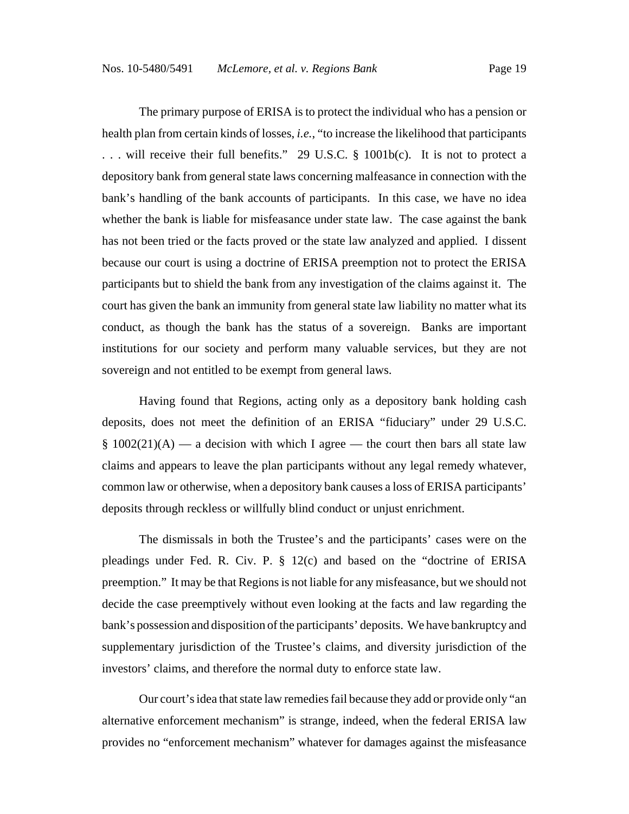The primary purpose of ERISA is to protect the individual who has a pension or health plan from certain kinds of losses, *i.e.*, "to increase the likelihood that participants . . . will receive their full benefits." 29 U.S.C. § 1001b(c). It is not to protect a depository bank from general state laws concerning malfeasance in connection with the bank's handling of the bank accounts of participants. In this case, we have no idea whether the bank is liable for misfeasance under state law. The case against the bank has not been tried or the facts proved or the state law analyzed and applied. I dissent because our court is using a doctrine of ERISA preemption not to protect the ERISA participants but to shield the bank from any investigation of the claims against it. The court has given the bank an immunity from general state law liability no matter what its conduct, as though the bank has the status of a sovereign. Banks are important institutions for our society and perform many valuable services, but they are not sovereign and not entitled to be exempt from general laws.

Having found that Regions, acting only as a depository bank holding cash deposits, does not meet the definition of an ERISA "fiduciary" under 29 U.S.C. §  $1002(21)(A)$  — a decision with which I agree — the court then bars all state law claims and appears to leave the plan participants without any legal remedy whatever, common law or otherwise, when a depository bank causes a loss of ERISA participants' deposits through reckless or willfully blind conduct or unjust enrichment.

The dismissals in both the Trustee's and the participants' cases were on the pleadings under Fed. R. Civ. P. § 12(c) and based on the "doctrine of ERISA preemption." It may be that Regions is not liable for any misfeasance, but we should not decide the case preemptively without even looking at the facts and law regarding the bank's possession and disposition of the participants' deposits. We have bankruptcy and supplementary jurisdiction of the Trustee's claims, and diversity jurisdiction of the investors' claims, and therefore the normal duty to enforce state law.

Our court's idea that state law remedies fail because they add or provide only "an alternative enforcement mechanism" is strange, indeed, when the federal ERISA law provides no "enforcement mechanism" whatever for damages against the misfeasance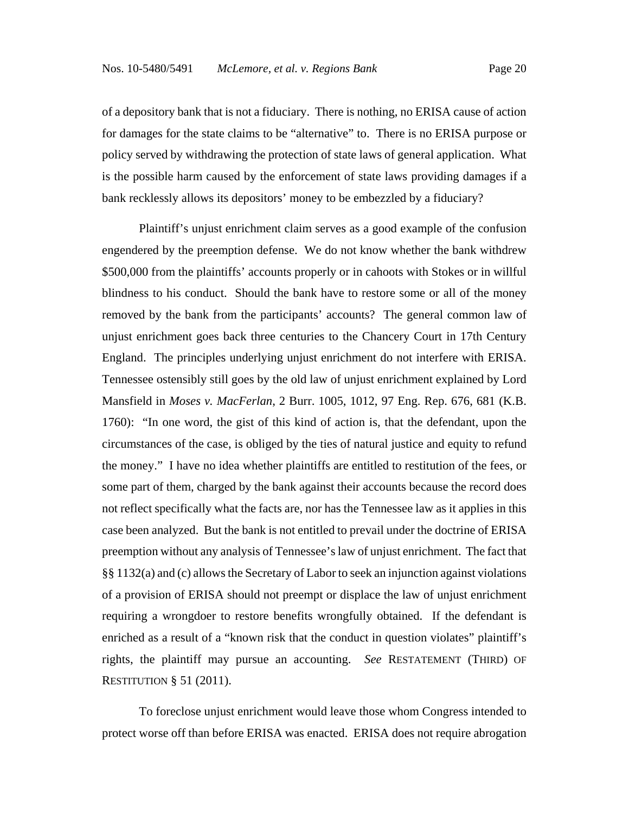of a depository bank that is not a fiduciary. There is nothing, no ERISA cause of action for damages for the state claims to be "alternative" to. There is no ERISA purpose or policy served by withdrawing the protection of state laws of general application. What is the possible harm caused by the enforcement of state laws providing damages if a bank recklessly allows its depositors' money to be embezzled by a fiduciary?

Plaintiff's unjust enrichment claim serves as a good example of the confusion engendered by the preemption defense. We do not know whether the bank withdrew \$500,000 from the plaintiffs' accounts properly or in cahoots with Stokes or in willful blindness to his conduct. Should the bank have to restore some or all of the money removed by the bank from the participants' accounts? The general common law of unjust enrichment goes back three centuries to the Chancery Court in 17th Century England. The principles underlying unjust enrichment do not interfere with ERISA. Tennessee ostensibly still goes by the old law of unjust enrichment explained by Lord Mansfield in *Moses v. MacFerlan*, 2 Burr. 1005, 1012, 97 Eng. Rep. 676, 681 (K.B. 1760): "In one word, the gist of this kind of action is, that the defendant, upon the circumstances of the case, is obliged by the ties of natural justice and equity to refund the money." I have no idea whether plaintiffs are entitled to restitution of the fees, or some part of them, charged by the bank against their accounts because the record does not reflect specifically what the facts are, nor has the Tennessee law as it applies in this case been analyzed. But the bank is not entitled to prevail under the doctrine of ERISA preemption without any analysis of Tennessee's law of unjust enrichment. The fact that §§ 1132(a) and (c) allows the Secretary of Labor to seek an injunction against violations of a provision of ERISA should not preempt or displace the law of unjust enrichment requiring a wrongdoer to restore benefits wrongfully obtained. If the defendant is enriched as a result of a "known risk that the conduct in question violates" plaintiff's rights, the plaintiff may pursue an accounting. *See* RESTATEMENT (THIRD) OF RESTITUTION § 51 (2011).

To foreclose unjust enrichment would leave those whom Congress intended to protect worse off than before ERISA was enacted. ERISA does not require abrogation